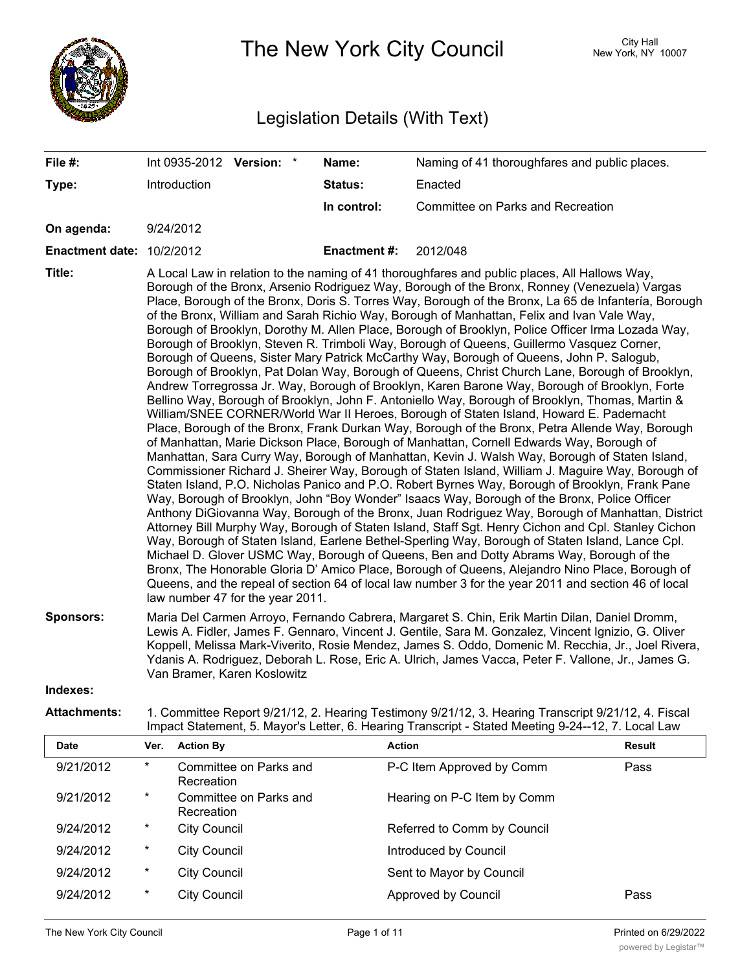

The New York City Council New York, NY 10007

## Legislation Details (With Text)

**File #:** Int 0935-2012 **Version:** \* **Name:** Naming of 41 thoroughfares and public places.

| Type:                        |                                                                                                                                                                                                                                                                                                                                                                                                                                                                                                                                                                                                                                                                                                                                                                                                                                                                                                                                                                                                                                                                                                                                                                                                                                                                                                                                                                                                                                                                                                                                                                                                                                                                                                                                                                                                                                                                                                                                                                                                                                                                                                                                                                                                                                                                                                                                                                       | Introduction                         | Status:            | Enacted                                                                                             |               |
|------------------------------|-----------------------------------------------------------------------------------------------------------------------------------------------------------------------------------------------------------------------------------------------------------------------------------------------------------------------------------------------------------------------------------------------------------------------------------------------------------------------------------------------------------------------------------------------------------------------------------------------------------------------------------------------------------------------------------------------------------------------------------------------------------------------------------------------------------------------------------------------------------------------------------------------------------------------------------------------------------------------------------------------------------------------------------------------------------------------------------------------------------------------------------------------------------------------------------------------------------------------------------------------------------------------------------------------------------------------------------------------------------------------------------------------------------------------------------------------------------------------------------------------------------------------------------------------------------------------------------------------------------------------------------------------------------------------------------------------------------------------------------------------------------------------------------------------------------------------------------------------------------------------------------------------------------------------------------------------------------------------------------------------------------------------------------------------------------------------------------------------------------------------------------------------------------------------------------------------------------------------------------------------------------------------------------------------------------------------------------------------------------------------|--------------------------------------|--------------------|-----------------------------------------------------------------------------------------------------|---------------|
|                              |                                                                                                                                                                                                                                                                                                                                                                                                                                                                                                                                                                                                                                                                                                                                                                                                                                                                                                                                                                                                                                                                                                                                                                                                                                                                                                                                                                                                                                                                                                                                                                                                                                                                                                                                                                                                                                                                                                                                                                                                                                                                                                                                                                                                                                                                                                                                                                       |                                      | In control:        | Committee on Parks and Recreation                                                                   |               |
| On agenda:                   |                                                                                                                                                                                                                                                                                                                                                                                                                                                                                                                                                                                                                                                                                                                                                                                                                                                                                                                                                                                                                                                                                                                                                                                                                                                                                                                                                                                                                                                                                                                                                                                                                                                                                                                                                                                                                                                                                                                                                                                                                                                                                                                                                                                                                                                                                                                                                                       | 9/24/2012                            |                    |                                                                                                     |               |
| Enactment date: 10/2/2012    |                                                                                                                                                                                                                                                                                                                                                                                                                                                                                                                                                                                                                                                                                                                                                                                                                                                                                                                                                                                                                                                                                                                                                                                                                                                                                                                                                                                                                                                                                                                                                                                                                                                                                                                                                                                                                                                                                                                                                                                                                                                                                                                                                                                                                                                                                                                                                                       |                                      | <b>Enactment#:</b> | 2012/048                                                                                            |               |
| Title:                       | A Local Law in relation to the naming of 41 thoroughfares and public places, All Hallows Way,<br>Borough of the Bronx, Arsenio Rodriguez Way, Borough of the Bronx, Ronney (Venezuela) Vargas<br>Place, Borough of the Bronx, Doris S. Torres Way, Borough of the Bronx, La 65 de Infantería, Borough<br>of the Bronx, William and Sarah Richio Way, Borough of Manhattan, Felix and Ivan Vale Way,<br>Borough of Brooklyn, Dorothy M. Allen Place, Borough of Brooklyn, Police Officer Irma Lozada Way,<br>Borough of Brooklyn, Steven R. Trimboli Way, Borough of Queens, Guillermo Vasquez Corner,<br>Borough of Queens, Sister Mary Patrick McCarthy Way, Borough of Queens, John P. Salogub,<br>Borough of Brooklyn, Pat Dolan Way, Borough of Queens, Christ Church Lane, Borough of Brooklyn,<br>Andrew Torregrossa Jr. Way, Borough of Brooklyn, Karen Barone Way, Borough of Brooklyn, Forte<br>Bellino Way, Borough of Brooklyn, John F. Antoniello Way, Borough of Brooklyn, Thomas, Martin &<br>William/SNEE CORNER/World War II Heroes, Borough of Staten Island, Howard E. Padernacht<br>Place, Borough of the Bronx, Frank Durkan Way, Borough of the Bronx, Petra Allende Way, Borough<br>of Manhattan, Marie Dickson Place, Borough of Manhattan, Cornell Edwards Way, Borough of<br>Manhattan, Sara Curry Way, Borough of Manhattan, Kevin J. Walsh Way, Borough of Staten Island,<br>Commissioner Richard J. Sheirer Way, Borough of Staten Island, William J. Maguire Way, Borough of<br>Staten Island, P.O. Nicholas Panico and P.O. Robert Byrnes Way, Borough of Brooklyn, Frank Pane<br>Way, Borough of Brooklyn, John "Boy Wonder" Isaacs Way, Borough of the Bronx, Police Officer<br>Anthony DiGiovanna Way, Borough of the Bronx, Juan Rodriguez Way, Borough of Manhattan, District<br>Attorney Bill Murphy Way, Borough of Staten Island, Staff Sgt. Henry Cichon and Cpl. Stanley Cichon<br>Way, Borough of Staten Island, Earlene Bethel-Sperling Way, Borough of Staten Island, Lance Cpl.<br>Michael D. Glover USMC Way, Borough of Queens, Ben and Dotty Abrams Way, Borough of the<br>Bronx, The Honorable Gloria D' Amico Place, Borough of Queens, Alejandro Nino Place, Borough of<br>Queens, and the repeal of section 64 of local law number 3 for the year 2011 and section 46 of local<br>law number 47 for the year 2011. |                                      |                    |                                                                                                     |               |
| <b>Sponsors:</b><br>Indexes: | Maria Del Carmen Arroyo, Fernando Cabrera, Margaret S. Chin, Erik Martin Dilan, Daniel Dromm,<br>Lewis A. Fidler, James F. Gennaro, Vincent J. Gentile, Sara M. Gonzalez, Vincent Ignizio, G. Oliver<br>Koppell, Melissa Mark-Viverito, Rosie Mendez, James S. Oddo, Domenic M. Recchia, Jr., Joel Rivera,<br>Ydanis A. Rodriguez, Deborah L. Rose, Eric A. Ulrich, James Vacca, Peter F. Vallone, Jr., James G.<br>Van Bramer, Karen Koslowitz                                                                                                                                                                                                                                                                                                                                                                                                                                                                                                                                                                                                                                                                                                                                                                                                                                                                                                                                                                                                                                                                                                                                                                                                                                                                                                                                                                                                                                                                                                                                                                                                                                                                                                                                                                                                                                                                                                                       |                                      |                    |                                                                                                     |               |
| <b>Attachments:</b>          |                                                                                                                                                                                                                                                                                                                                                                                                                                                                                                                                                                                                                                                                                                                                                                                                                                                                                                                                                                                                                                                                                                                                                                                                                                                                                                                                                                                                                                                                                                                                                                                                                                                                                                                                                                                                                                                                                                                                                                                                                                                                                                                                                                                                                                                                                                                                                                       |                                      |                    | 1. Committee Report 9/21/12, 2. Hearing Testimony 9/21/12, 3. Hearing Transcript 9/21/12, 4. Fiscal |               |
|                              |                                                                                                                                                                                                                                                                                                                                                                                                                                                                                                                                                                                                                                                                                                                                                                                                                                                                                                                                                                                                                                                                                                                                                                                                                                                                                                                                                                                                                                                                                                                                                                                                                                                                                                                                                                                                                                                                                                                                                                                                                                                                                                                                                                                                                                                                                                                                                                       |                                      |                    | Impact Statement, 5. Mayor's Letter, 6. Hearing Transcript - Stated Meeting 9-24--12, 7. Local Law  |               |
| <b>Date</b>                  | Ver.                                                                                                                                                                                                                                                                                                                                                                                                                                                                                                                                                                                                                                                                                                                                                                                                                                                                                                                                                                                                                                                                                                                                                                                                                                                                                                                                                                                                                                                                                                                                                                                                                                                                                                                                                                                                                                                                                                                                                                                                                                                                                                                                                                                                                                                                                                                                                                  | <b>Action By</b>                     |                    | <b>Action</b>                                                                                       | <b>Result</b> |
| 9/21/2012                    | $\star$                                                                                                                                                                                                                                                                                                                                                                                                                                                                                                                                                                                                                                                                                                                                                                                                                                                                                                                                                                                                                                                                                                                                                                                                                                                                                                                                                                                                                                                                                                                                                                                                                                                                                                                                                                                                                                                                                                                                                                                                                                                                                                                                                                                                                                                                                                                                                               | Committee on Parks and<br>Recreation |                    | P-C Item Approved by Comm                                                                           | Pass          |
| 9/21/2012                    | *                                                                                                                                                                                                                                                                                                                                                                                                                                                                                                                                                                                                                                                                                                                                                                                                                                                                                                                                                                                                                                                                                                                                                                                                                                                                                                                                                                                                                                                                                                                                                                                                                                                                                                                                                                                                                                                                                                                                                                                                                                                                                                                                                                                                                                                                                                                                                                     | Committee on Parks and<br>Recreation |                    | Hearing on P-C Item by Comm                                                                         |               |
| 9/24/2012                    | $^\star$                                                                                                                                                                                                                                                                                                                                                                                                                                                                                                                                                                                                                                                                                                                                                                                                                                                                                                                                                                                                                                                                                                                                                                                                                                                                                                                                                                                                                                                                                                                                                                                                                                                                                                                                                                                                                                                                                                                                                                                                                                                                                                                                                                                                                                                                                                                                                              | <b>City Council</b>                  |                    | Referred to Comm by Council                                                                         |               |
| 9/24/2012                    | $^\star$                                                                                                                                                                                                                                                                                                                                                                                                                                                                                                                                                                                                                                                                                                                                                                                                                                                                                                                                                                                                                                                                                                                                                                                                                                                                                                                                                                                                                                                                                                                                                                                                                                                                                                                                                                                                                                                                                                                                                                                                                                                                                                                                                                                                                                                                                                                                                              | <b>City Council</b>                  |                    | Introduced by Council                                                                               |               |
| 9/24/2012                    | *                                                                                                                                                                                                                                                                                                                                                                                                                                                                                                                                                                                                                                                                                                                                                                                                                                                                                                                                                                                                                                                                                                                                                                                                                                                                                                                                                                                                                                                                                                                                                                                                                                                                                                                                                                                                                                                                                                                                                                                                                                                                                                                                                                                                                                                                                                                                                                     | <b>City Council</b>                  |                    | Sent to Mayor by Council                                                                            |               |
| 9/24/2012                    | $^\star$                                                                                                                                                                                                                                                                                                                                                                                                                                                                                                                                                                                                                                                                                                                                                                                                                                                                                                                                                                                                                                                                                                                                                                                                                                                                                                                                                                                                                                                                                                                                                                                                                                                                                                                                                                                                                                                                                                                                                                                                                                                                                                                                                                                                                                                                                                                                                              | <b>City Council</b>                  |                    | Approved by Council                                                                                 | Pass          |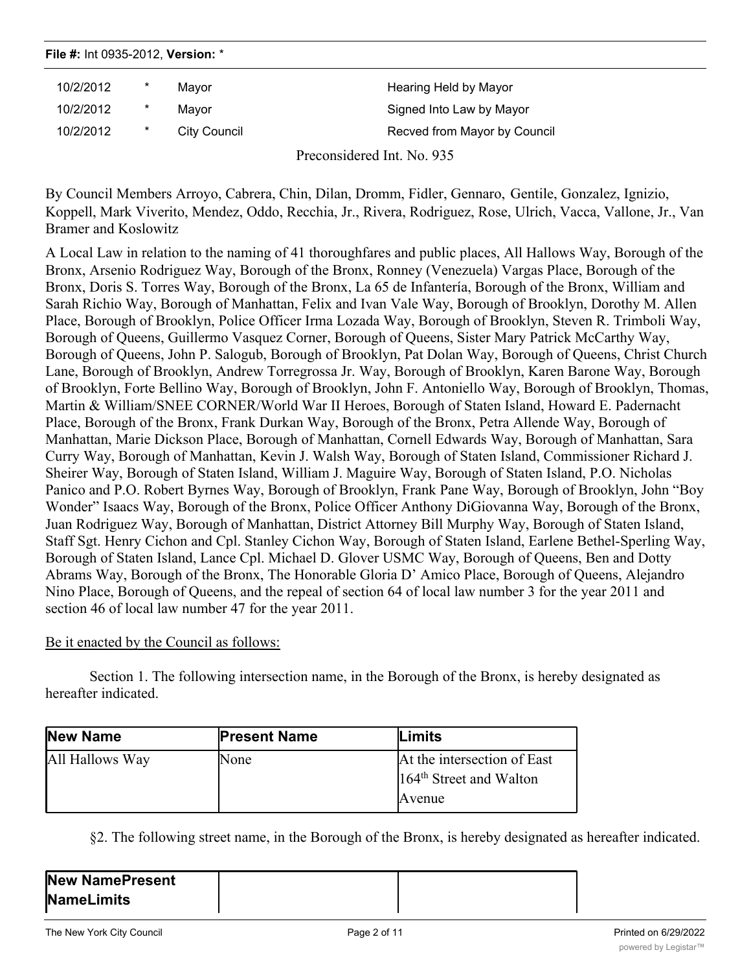| File #: Int 0935-2012, Version: * |          |              |                              |
|-----------------------------------|----------|--------------|------------------------------|
| 10/2/2012                         | $^\star$ | Mavor        | Hearing Held by Mayor        |
| 10/2/2012                         | $^\star$ | Mavor        | Signed Into Law by Mayor     |
| 10/2/2012                         | *        | City Council | Recved from Mayor by Council |
|                                   |          |              | Preconsidered Int. No. 935   |

By Council Members Arroyo, Cabrera, Chin, Dilan, Dromm, Fidler, Gennaro, Gentile, Gonzalez, Ignizio, Koppell, Mark Viverito, Mendez, Oddo, Recchia, Jr., Rivera, Rodriguez, Rose, Ulrich, Vacca, Vallone, Jr., Van Bramer and Koslowitz

A Local Law in relation to the naming of 41 thoroughfares and public places, All Hallows Way, Borough of the Bronx, Arsenio Rodriguez Way, Borough of the Bronx, Ronney (Venezuela) Vargas Place, Borough of the Bronx, Doris S. Torres Way, Borough of the Bronx, La 65 de Infantería, Borough of the Bronx, William and Sarah Richio Way, Borough of Manhattan, Felix and Ivan Vale Way, Borough of Brooklyn, Dorothy M. Allen Place, Borough of Brooklyn, Police Officer Irma Lozada Way, Borough of Brooklyn, Steven R. Trimboli Way, Borough of Queens, Guillermo Vasquez Corner, Borough of Queens, Sister Mary Patrick McCarthy Way, Borough of Queens, John P. Salogub, Borough of Brooklyn, Pat Dolan Way, Borough of Queens, Christ Church Lane, Borough of Brooklyn, Andrew Torregrossa Jr. Way, Borough of Brooklyn, Karen Barone Way, Borough of Brooklyn, Forte Bellino Way, Borough of Brooklyn, John F. Antoniello Way, Borough of Brooklyn, Thomas, Martin & William/SNEE CORNER/World War II Heroes, Borough of Staten Island, Howard E. Padernacht Place, Borough of the Bronx, Frank Durkan Way, Borough of the Bronx, Petra Allende Way, Borough of Manhattan, Marie Dickson Place, Borough of Manhattan, Cornell Edwards Way, Borough of Manhattan, Sara Curry Way, Borough of Manhattan, Kevin J. Walsh Way, Borough of Staten Island, Commissioner Richard J. Sheirer Way, Borough of Staten Island, William J. Maguire Way, Borough of Staten Island, P.O. Nicholas Panico and P.O. Robert Byrnes Way, Borough of Brooklyn, Frank Pane Way, Borough of Brooklyn, John "Boy Wonder" Isaacs Way, Borough of the Bronx, Police Officer Anthony DiGiovanna Way, Borough of the Bronx, Juan Rodriguez Way, Borough of Manhattan, District Attorney Bill Murphy Way, Borough of Staten Island, Staff Sgt. Henry Cichon and Cpl. Stanley Cichon Way, Borough of Staten Island, Earlene Bethel-Sperling Way, Borough of Staten Island, Lance Cpl. Michael D. Glover USMC Way, Borough of Queens, Ben and Dotty Abrams Way, Borough of the Bronx, The Honorable Gloria D' Amico Place, Borough of Queens, Alejandro Nino Place, Borough of Queens, and the repeal of section 64 of local law number 3 for the year 2011 and section 46 of local law number 47 for the year 2011.

## Be it enacted by the Council as follows:

Section 1. The following intersection name, in the Borough of the Bronx, is hereby designated as hereafter indicated.

| New Name        | <b>Present Name</b> | Limits                                                                       |
|-----------------|---------------------|------------------------------------------------------------------------------|
| All Hallows Way | None                | At the intersection of East<br>164 <sup>th</sup> Street and Walton<br>Avenue |

§2. The following street name, in the Borough of the Bronx, is hereby designated as hereafter indicated.

| <b>New NamePresent</b> |  |
|------------------------|--|
| <b>NameLimits</b>      |  |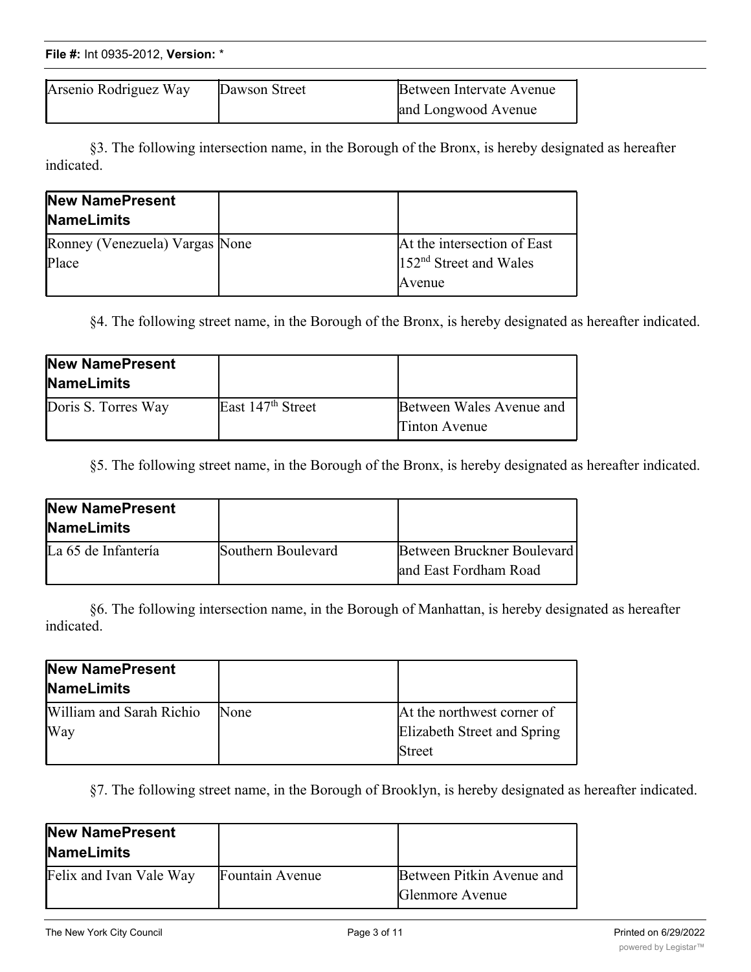| File #: Int 0935-2012, Version: * |  |
|-----------------------------------|--|
|                                   |  |

| Arsenio Rodriguez Way | Dawson Street | Between Intervate Avenue |
|-----------------------|---------------|--------------------------|
|                       |               | and Longwood Avenue      |

§3. The following intersection name, in the Borough of the Bronx, is hereby designated as hereafter indicated.

| New NamePresent<br><b>NameLimits</b> |                             |
|--------------------------------------|-----------------------------|
| Ronney (Venezuela) Vargas None       | At the intersection of East |
| Place                                | $152nd$ Street and Wales    |
|                                      | Avenue                      |

§4. The following street name, in the Borough of the Bronx, is hereby designated as hereafter indicated.

| New NamePresent<br><b>NameLimits</b> |                               |                                                  |
|--------------------------------------|-------------------------------|--------------------------------------------------|
| Doris S. Torres Way                  | East 147 <sup>th</sup> Street | Between Wales Avenue and<br><b>Tinton Avenue</b> |

§5. The following street name, in the Borough of the Bronx, is hereby designated as hereafter indicated.

| New NamePresent<br><b>NameLimits</b> |                    |                                                      |
|--------------------------------------|--------------------|------------------------------------------------------|
| La 65 de Infantería                  | Southern Boulevard | Between Bruckner Boulevard<br>land East Fordham Road |

§6. The following intersection name, in the Borough of Manhattan, is hereby designated as hereafter indicated.

| New NamePresent<br><b>NameLimits</b> |      |                                                                     |
|--------------------------------------|------|---------------------------------------------------------------------|
| William and Sarah Richio<br>Way      | None | At the northwest corner of<br>Elizabeth Street and Spring<br>Street |

§7. The following street name, in the Borough of Brooklyn, is hereby designated as hereafter indicated.

| New NamePresent<br><b>NameLimits</b> |                 |                                              |
|--------------------------------------|-----------------|----------------------------------------------|
| Felix and Ivan Vale Way              | Fountain Avenue | Between Pitkin Avenue and<br>Glenmore Avenue |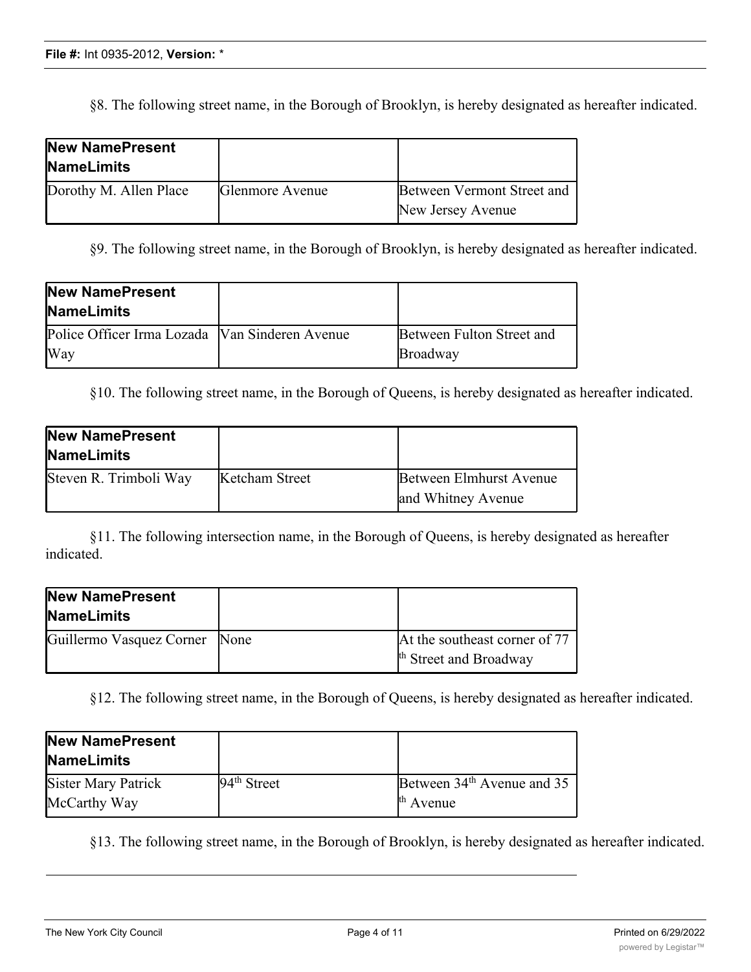§8. The following street name, in the Borough of Brooklyn, is hereby designated as hereafter indicated.

| New NamePresent<br><b>NameLimits</b> |                 |                            |
|--------------------------------------|-----------------|----------------------------|
| Dorothy M. Allen Place               | Glenmore Avenue | Between Vermont Street and |
|                                      |                 | New Jersey Avenue          |

§9. The following street name, in the Borough of Brooklyn, is hereby designated as hereafter indicated.

| New NamePresent<br><b>NameLimits</b>           |                           |
|------------------------------------------------|---------------------------|
| Police Officer Irma Lozada Van Sinderen Avenue | Between Fulton Street and |
| Way                                            | Broadway                  |

§10. The following street name, in the Borough of Queens, is hereby designated as hereafter indicated.

| <b>New NamePresent</b><br><b>NameLimits</b> |                |                                                      |
|---------------------------------------------|----------------|------------------------------------------------------|
| Steven R. Trimboli Way                      | Ketcham Street | <b>Between Elmhurst Avenue</b><br>and Whitney Avenue |

§11. The following intersection name, in the Borough of Queens, is hereby designated as hereafter indicated.

| New NamePresent<br><b>NameLimits</b> |                                                                    |
|--------------------------------------|--------------------------------------------------------------------|
| Guillermo Vasquez Corner None        | At the southeast corner of 77<br><sup>th</sup> Street and Broadway |

§12. The following street name, in the Borough of Queens, is hereby designated as hereafter indicated.

| <b>New NamePresent</b><br><b>NameLimits</b> |               |                                        |
|---------------------------------------------|---------------|----------------------------------------|
| Sister Mary Patrick                         | $94th$ Street | Between 34 <sup>th</sup> Avenue and 35 |
| McCarthy Way                                |               | $th$ Avenue                            |

§13. The following street name, in the Borough of Brooklyn, is hereby designated as hereafter indicated.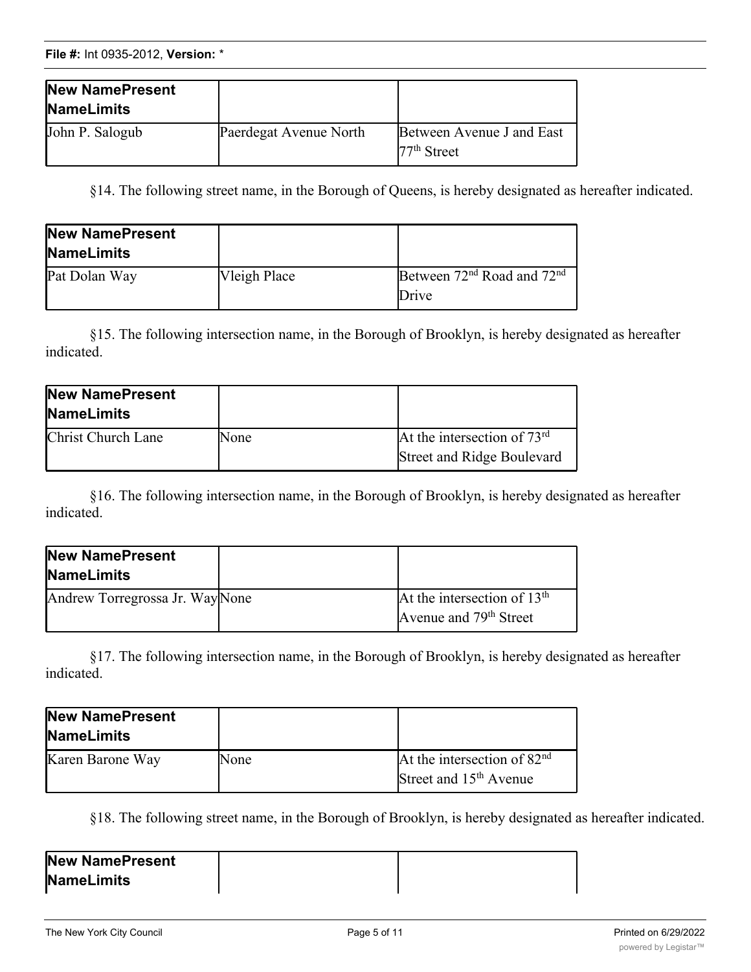| New NamePresent<br><b>NameLimits</b> |                        |                                            |
|--------------------------------------|------------------------|--------------------------------------------|
| John P. Salogub                      | Paerdegat Avenue North | Between Avenue J and East<br>$77th$ Street |

§14. The following street name, in the Borough of Queens, is hereby designated as hereafter indicated.

| New NamePresent<br><b>NameLimits</b> |              |                                                             |
|--------------------------------------|--------------|-------------------------------------------------------------|
| Pat Dolan Way                        | Vleigh Place | Between 72 <sup>nd</sup> Road and 72 <sup>nd</sup><br>Drive |

§15. The following intersection name, in the Borough of Brooklyn, is hereby designated as hereafter indicated.

| <b>New NamePresent</b><br><b>NameLimits</b> |      |                                                                    |
|---------------------------------------------|------|--------------------------------------------------------------------|
| Christ Church Lane                          | None | At the intersection of $73rd$<br><b>Street and Ridge Boulevard</b> |

§16. The following intersection name, in the Borough of Brooklyn, is hereby designated as hereafter indicated.

| New NamePresent<br><b>NameLimits</b> |                                                                     |
|--------------------------------------|---------------------------------------------------------------------|
| Andrew Torregrossa Jr. WayNone       | At the intersection of $13th$<br>Avenue and 79 <sup>th</sup> Street |

§17. The following intersection name, in the Borough of Brooklyn, is hereby designated as hereafter indicated.

| New NamePresent<br><b>NameLimits</b> |      |                                                           |
|--------------------------------------|------|-----------------------------------------------------------|
| Karen Barone Way                     | None | At the intersection of $82nd$<br>Street and $15th$ Avenue |
|                                      |      |                                                           |

§18. The following street name, in the Borough of Brooklyn, is hereby designated as hereafter indicated.

| New NamePresent   |  |
|-------------------|--|
| <b>NameLimits</b> |  |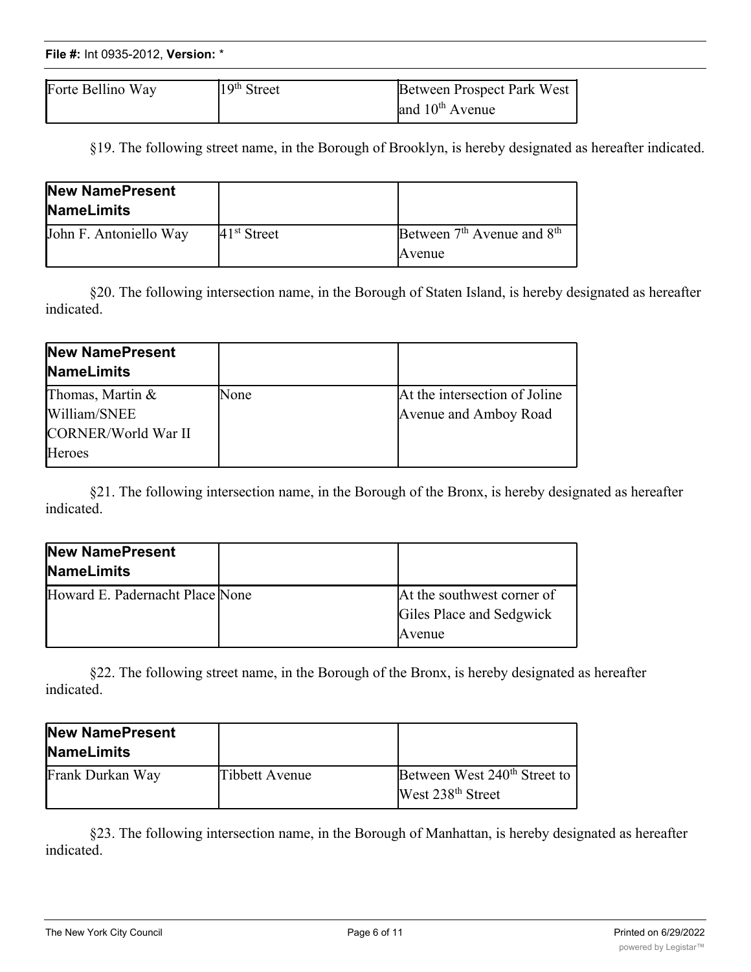| File #: Int 0935-2012, Version: * |  |
|-----------------------------------|--|
|                                   |  |

| Forte Bellino Way | $19th$ Street | Between Prospect Park West |
|-------------------|---------------|----------------------------|
|                   |               | and $10th$ Avenue          |

§19. The following street name, in the Borough of Brooklyn, is hereby designated as hereafter indicated.

| New NamePresent<br><b>NameLimits</b> |                         |                                                              |
|--------------------------------------|-------------------------|--------------------------------------------------------------|
| John F. Antoniello Way               | 41 <sup>st</sup> Street | Between 7 <sup>th</sup> Avenue and 8 <sup>th</sup><br>Avenue |

§20. The following intersection name, in the Borough of Staten Island, is hereby designated as hereafter indicated.

| New NamePresent<br><b>NameLimits</b> |      |                               |
|--------------------------------------|------|-------------------------------|
| Thomas, Martin $&$                   | None | At the intersection of Joline |
| William/SNEE                         |      | Avenue and Amboy Road         |
| CORNER/World War II                  |      |                               |
| Heroes                               |      |                               |

§21. The following intersection name, in the Borough of the Bronx, is hereby designated as hereafter indicated.

| New NamePresent<br><b>NameLimits</b> |                                                                  |
|--------------------------------------|------------------------------------------------------------------|
| Howard E. Padernacht Place None      | At the southwest corner of<br>Giles Place and Sedgwick<br>Avenue |

§22. The following street name, in the Borough of the Bronx, is hereby designated as hereafter indicated.

| New NamePresent<br><b>NameLimits</b> |                |                                                                           |
|--------------------------------------|----------------|---------------------------------------------------------------------------|
| Frank Durkan Way                     | Tibbett Avenue | Between West 240 <sup>th</sup> Street to<br>West 238 <sup>th</sup> Street |

§23. The following intersection name, in the Borough of Manhattan, is hereby designated as hereafter indicated.

**NameLimits**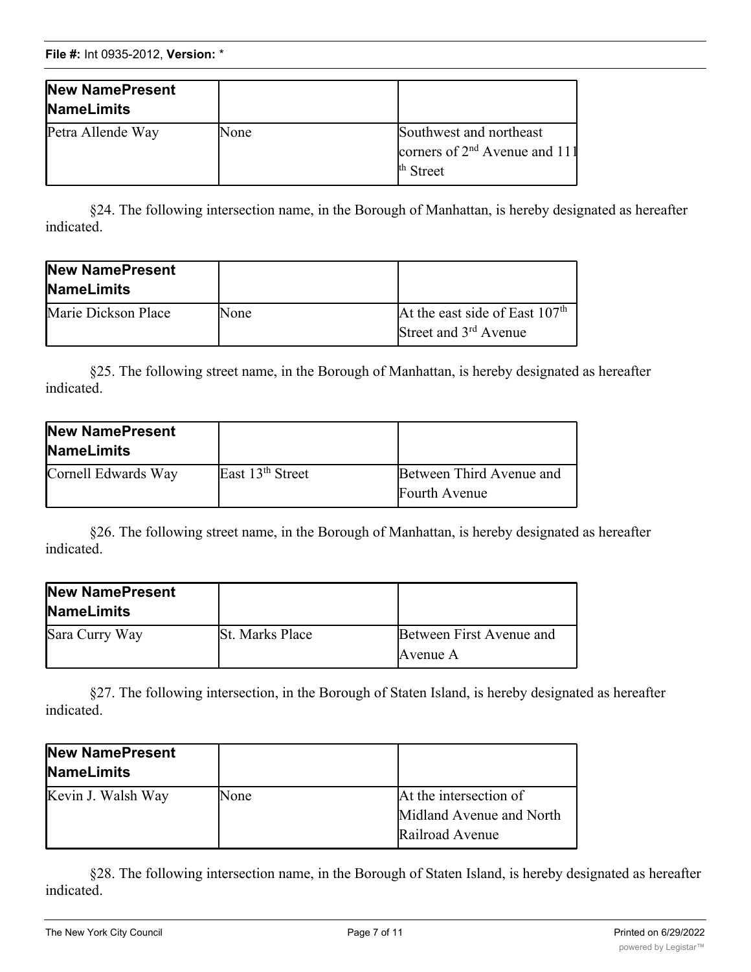| New NamePresent<br><b>NameLimits</b> |      |                                                                                    |
|--------------------------------------|------|------------------------------------------------------------------------------------|
| Petra Allende Way                    | None | Southwest and northeast<br>corners of $2nd$ Avenue and 111<br><sup>th</sup> Street |

§24. The following intersection name, in the Borough of Manhattan, is hereby designated as hereafter indicated.

| New NamePresent<br><b>NameLimits</b> |      |                                                                       |
|--------------------------------------|------|-----------------------------------------------------------------------|
| Marie Dickson Place                  | None | At the east side of East $107th$<br>Street and 3 <sup>rd</sup> Avenue |

§25. The following street name, in the Borough of Manhattan, is hereby designated as hereafter indicated.

| New NamePresent<br><b>NameLimits</b> |                              |                                           |
|--------------------------------------|------------------------------|-------------------------------------------|
| Cornell Edwards Way                  | East 13 <sup>th</sup> Street | Between Third Avenue and<br>Fourth Avenue |

§26. The following street name, in the Borough of Manhattan, is hereby designated as hereafter indicated.

| New NamePresent<br><b>NameLimits</b> |                        |                                      |
|--------------------------------------|------------------------|--------------------------------------|
| Sara Curry Way                       | <b>St. Marks Place</b> | Between First Avenue and<br>Avenue A |

§27. The following intersection, in the Borough of Staten Island, is hereby designated as hereafter indicated.

| New NamePresent<br><b>NameLimits</b> |      |                                                                       |
|--------------------------------------|------|-----------------------------------------------------------------------|
| Kevin J. Walsh Way                   | None | At the intersection of<br>Midland Avenue and North<br>Railroad Avenue |

§28. The following intersection name, in the Borough of Staten Island, is hereby designated as hereafter indicated.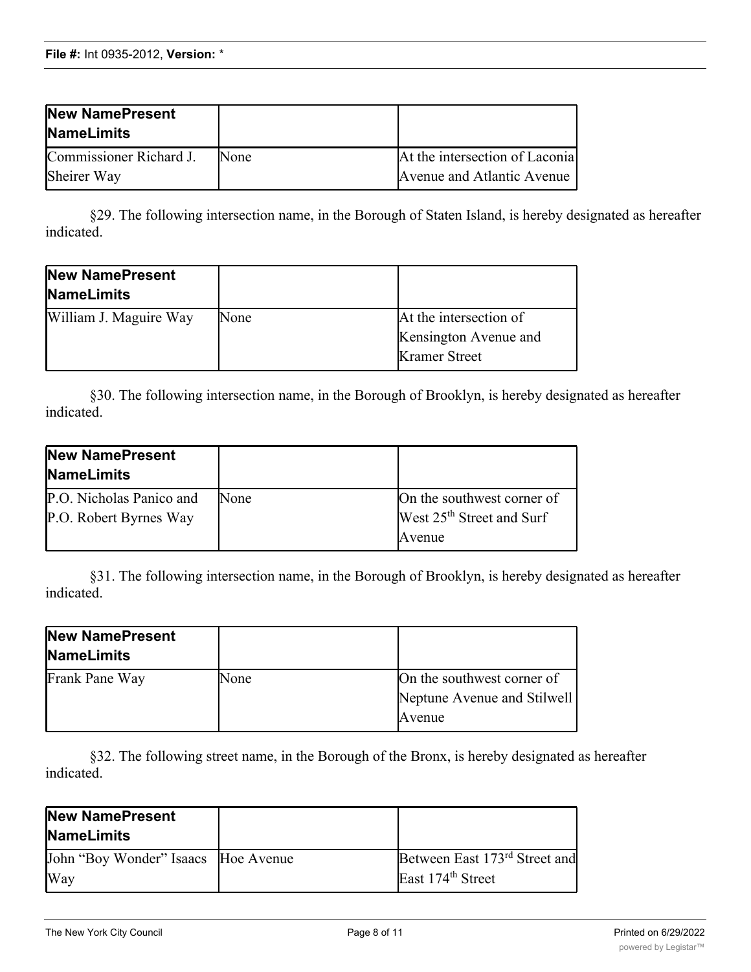| New NamePresent<br><b>NameLimits</b>   |      |                                                              |
|----------------------------------------|------|--------------------------------------------------------------|
| Commissioner Richard J.<br>Sheirer Way | None | At the intersection of Laconia<br>Avenue and Atlantic Avenue |

§29. The following intersection name, in the Borough of Staten Island, is hereby designated as hereafter indicated.

| New NamePresent<br><b>NameLimits</b> |      |                        |
|--------------------------------------|------|------------------------|
| William J. Maguire Way               | None | At the intersection of |
|                                      |      | Kensington Avenue and  |
|                                      |      | <b>Kramer Street</b>   |

§30. The following intersection name, in the Borough of Brooklyn, is hereby designated as hereafter indicated.

| <b>New NamePresent</b><br><b>NameLimits</b>        |      |                                                                     |
|----------------------------------------------------|------|---------------------------------------------------------------------|
| P.O. Nicholas Panico and<br>P.O. Robert Byrnes Way | None | On the southwest corner of<br>West 25 <sup>th</sup> Street and Surf |
|                                                    |      | Avenue                                                              |

§31. The following intersection name, in the Borough of Brooklyn, is hereby designated as hereafter indicated.

| New NamePresent<br>NameLimits |      |                                                                     |
|-------------------------------|------|---------------------------------------------------------------------|
| Frank Pane Way                | None | On the southwest corner of<br>Neptune Avenue and Stilwell<br>Avenue |

§32. The following street name, in the Borough of the Bronx, is hereby designated as hereafter indicated.

| <b>New NamePresent</b><br><b>NameLimits</b> |                                           |
|---------------------------------------------|-------------------------------------------|
| John "Boy Wonder" Isaacs Hoe Avenue         | Between East 173 <sup>rd</sup> Street and |
| Way                                         | East 174 <sup>th</sup> Street             |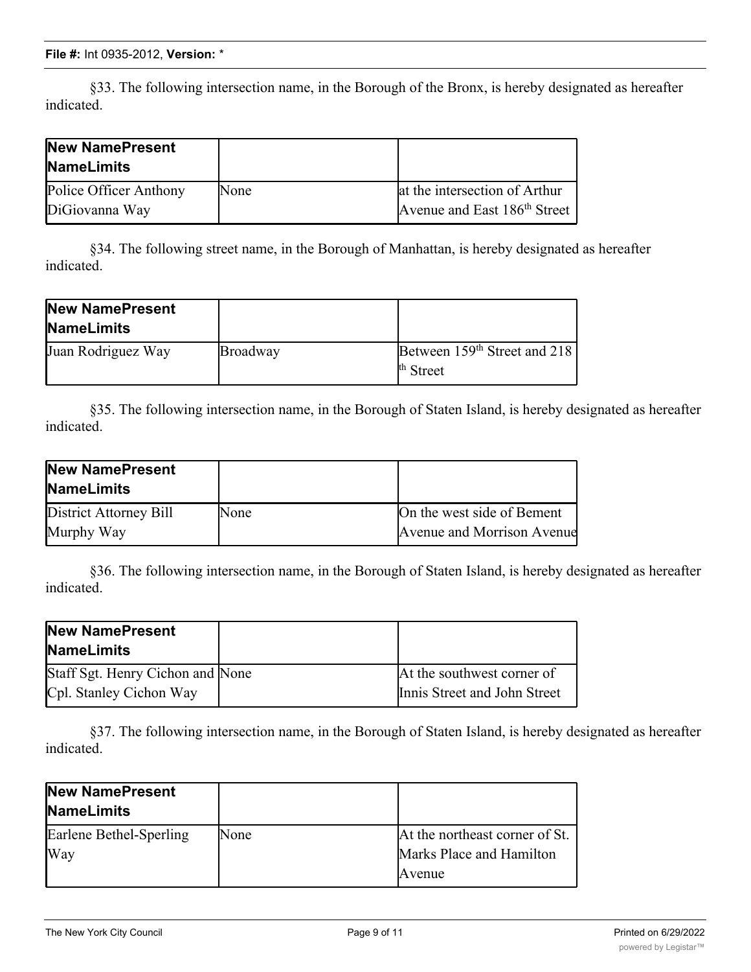§33. The following intersection name, in the Borough of the Bronx, is hereby designated as hereafter indicated.

| <b>New NamePresent</b><br><b>NameLimits</b> |      |                                          |
|---------------------------------------------|------|------------------------------------------|
| Police Officer Anthony                      | None | at the intersection of Arthur            |
| DiGiovanna Way                              |      | Avenue and East 186 <sup>th</sup> Street |

§34. The following street name, in the Borough of Manhattan, is hereby designated as hereafter indicated.

| New NamePresent<br><b>NameLimits</b> |          |                                                                  |
|--------------------------------------|----------|------------------------------------------------------------------|
| Juan Rodriguez Way                   | Broadway | Between 159 <sup>th</sup> Street and 218<br><sup>th</sup> Street |

§35. The following intersection name, in the Borough of Staten Island, is hereby designated as hereafter indicated.

| <b>New NamePresent</b><br><b>NameLimits</b> |             |                            |
|---------------------------------------------|-------------|----------------------------|
| District Attorney Bill                      | <b>None</b> | On the west side of Bement |
| Murphy Way                                  |             | Avenue and Morrison Avenue |

§36. The following intersection name, in the Borough of Staten Island, is hereby designated as hereafter indicated.

| <b>New NamePresent</b><br><b>NameLimits</b>                 |                                                            |
|-------------------------------------------------------------|------------------------------------------------------------|
| Staff Sgt. Henry Cichon and None<br>Cpl. Stanley Cichon Way | At the southwest corner of<br>Innis Street and John Street |
|                                                             |                                                            |

§37. The following intersection name, in the Borough of Staten Island, is hereby designated as hereafter indicated.

| <b>New NamePresent</b><br><b>NameLimits</b> |      |                                |
|---------------------------------------------|------|--------------------------------|
| Earlene Bethel-Sperling                     | None | At the northeast corner of St. |
| Way                                         |      | Marks Place and Hamilton       |
|                                             |      | Avenue                         |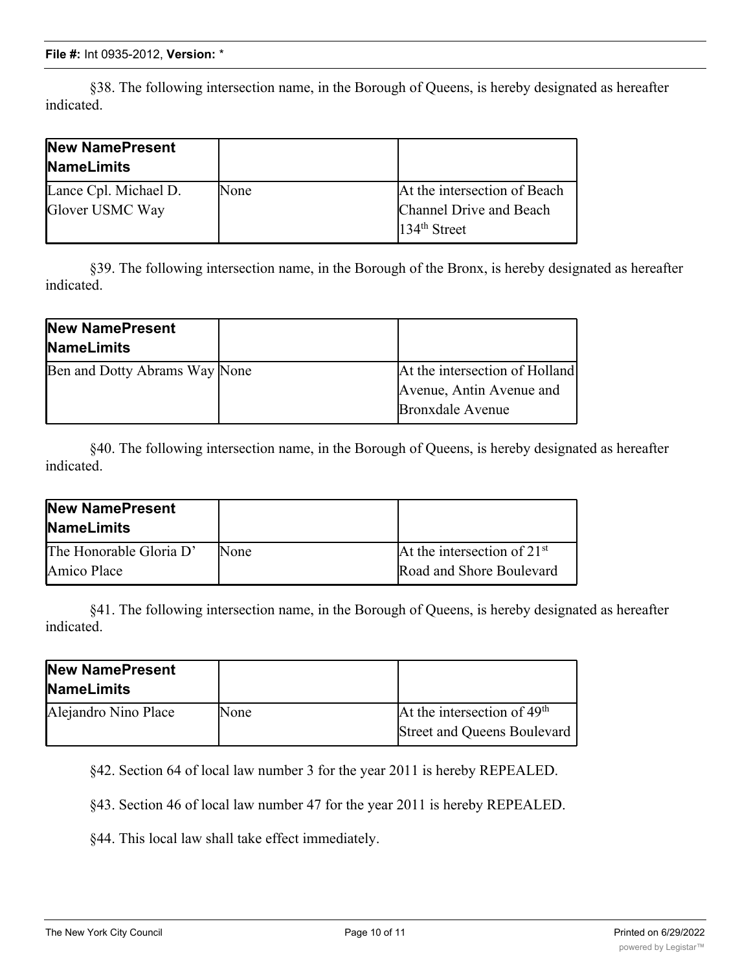§38. The following intersection name, in the Borough of Queens, is hereby designated as hereafter indicated.

| <b>New NamePresent</b><br><b>NameLimits</b> |      |                              |
|---------------------------------------------|------|------------------------------|
| Lance Cpl. Michael D.                       | None | At the intersection of Beach |
| Glover USMC Way                             |      | Channel Drive and Beach      |
|                                             |      | $134th$ Street               |

§39. The following intersection name, in the Borough of the Bronx, is hereby designated as hereafter indicated.

| New NamePresent               |                                |
|-------------------------------|--------------------------------|
| <b>NameLimits</b>             |                                |
| Ben and Dotty Abrams Way None | At the intersection of Holland |
|                               | Avenue, Antin Avenue and       |
|                               | <b>Bronxdale Avenue</b>        |

§40. The following intersection name, in the Borough of Queens, is hereby designated as hereafter indicated.

| New NamePresent<br><b>NameLimits</b> |      |                               |
|--------------------------------------|------|-------------------------------|
| The Honorable Gloria D'              | None | At the intersection of $21st$ |
| <b>Amico</b> Place                   |      | Road and Shore Boulevard      |

§41. The following intersection name, in the Borough of Queens, is hereby designated as hereafter indicated.

| New NamePresent<br><b>NameLimits</b> |      |                               |
|--------------------------------------|------|-------------------------------|
| Alejandro Nino Place                 | None | At the intersection of $49th$ |
|                                      |      | Street and Queens Boulevard   |

§42. Section 64 of local law number 3 for the year 2011 is hereby REPEALED.

§43. Section 46 of local law number 47 for the year 2011 is hereby REPEALED.

§44. This local law shall take effect immediately.